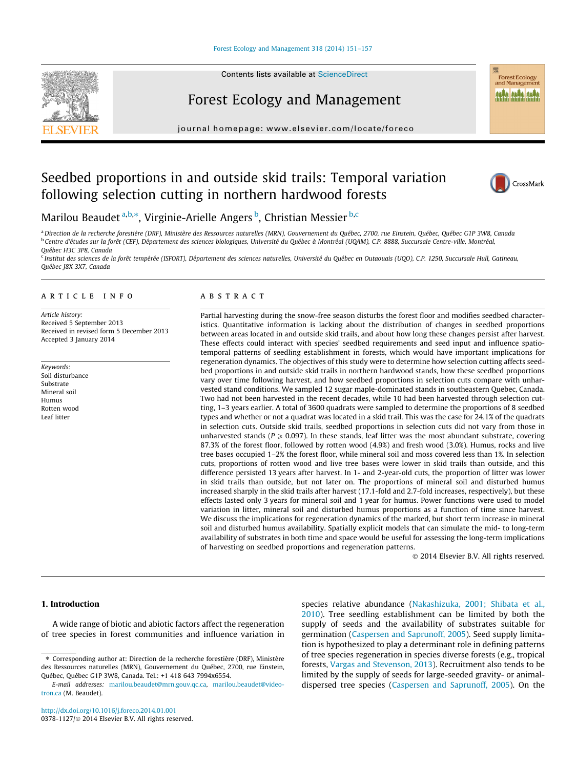## [Forest Ecology and Management 318 \(2014\) 151–157](http://dx.doi.org/10.1016/j.foreco.2014.01.001)



Contents lists available at [ScienceDirect](http://www.sciencedirect.com/science/journal/03781127)

## Forest Ecology and Management

journal homepage: [www.elsevier.com/locate/foreco](http://www.elsevier.com/locate/foreco)

# Seedbed proportions in and outside skid trails: Temporal variation following selection cutting in northern hardwood forests



Forest Ecology and Managem # # #

Marilou Beaudet <sup>a,b,</sup>\*, Virginie-Arielle Angers <sup>b</sup>, Christian Messier <sup>b,c</sup>

<sup>a</sup> Direction de la recherche forestière (DRF), Ministère des Ressources naturelles (MRN), Gouvernement du Québec, 2700, rue Einstein, Québec, Québec, G1P 3W8, Canada <sup>b</sup> Centre d'études sur la forêt (CEF), Département des sciences biologiques, Université du Québec à Montréal (UQAM), C.P. 8888, Succursale Centre-ville, Montréal, Québec H3C 3P8, Canada

<sup>c</sup> Institut des sciences de la forêt tempérée (ISFORT), Département des sciences naturelles, Université du Québec en Outaouais (UQO), C.P. 1250, Succursale Hull, Gatineau, Québec J8X 3X7, Canada

## article info

Article history: Received 5 September 2013 Received in revised form 5 December 2013 Accepted 3 January 2014

Keywords: Soil disturbance Substrate Mineral soil Humus Rotten wood Leaf litter

## **ABSTRACT**

Partial harvesting during the snow-free season disturbs the forest floor and modifies seedbed characteristics. Quantitative information is lacking about the distribution of changes in seedbed proportions between areas located in and outside skid trails, and about how long these changes persist after harvest. These effects could interact with species' seedbed requirements and seed input and influence spatiotemporal patterns of seedling establishment in forests, which would have important implications for regeneration dynamics. The objectives of this study were to determine how selection cutting affects seedbed proportions in and outside skid trails in northern hardwood stands, how these seedbed proportions vary over time following harvest, and how seedbed proportions in selection cuts compare with unharvested stand conditions. We sampled 12 sugar maple-dominated stands in southeastern Quebec, Canada. Two had not been harvested in the recent decades, while 10 had been harvested through selection cutting, 1–3 years earlier. A total of 3600 quadrats were sampled to determine the proportions of 8 seedbed types and whether or not a quadrat was located in a skid trail. This was the case for 24.1% of the quadrats in selection cuts. Outside skid trails, seedbed proportions in selection cuts did not vary from those in unharvested stands ( $P \ge 0.097$ ). In these stands, leaf litter was the most abundant substrate, covering 87.3% of the forest floor, followed by rotten wood (4.9%) and fresh wood (3.0%). Humus, rocks and live tree bases occupied 1–2% the forest floor, while mineral soil and moss covered less than 1%. In selection cuts, proportions of rotten wood and live tree bases were lower in skid trails than outside, and this difference persisted 13 years after harvest. In 1- and 2-year-old cuts, the proportion of litter was lower in skid trails than outside, but not later on. The proportions of mineral soil and disturbed humus increased sharply in the skid trails after harvest (17.1-fold and 2.7-fold increases, respectively), but these effects lasted only 3 years for mineral soil and 1 year for humus. Power functions were used to model variation in litter, mineral soil and disturbed humus proportions as a function of time since harvest. We discuss the implications for regeneration dynamics of the marked, but short term increase in mineral soil and disturbed humus availability. Spatially explicit models that can simulate the mid- to long-term availability of substrates in both time and space would be useful for assessing the long-term implications of harvesting on seedbed proportions and regeneration patterns.

- 2014 Elsevier B.V. All rights reserved.

## 1. Introduction

A wide range of biotic and abiotic factors affect the regeneration of tree species in forest communities and influence variation in species relative abundance ([Nakashizuka, 2001; Shibata et al.,](#page-6-0) [2010](#page-6-0)). Tree seedling establishment can be limited by both the supply of seeds and the availability of substrates suitable for germination ([Caspersen and Saprunoff, 2005](#page-5-0)). Seed supply limitation is hypothesized to play a determinant role in defining patterns of tree species regeneration in species diverse forests (e.g., tropical forests, [Vargas and Stevenson, 2013\)](#page-6-0). Recruitment also tends to be limited by the supply of seeds for large-seeded gravity- or animaldispersed tree species ([Caspersen and Saprunoff, 2005](#page-5-0)). On the

<sup>⇑</sup> Corresponding author at: Direction de la recherche forestière (DRF), Ministère des Ressources naturelles (MRN), Gouvernement du Québec, 2700, rue Einstein, Québec, Québec G1P 3W8, Canada. Tel.: +1 418 643 7994x6554.

E-mail addresses: [marilou.beaudet@mrn.gouv.qc.ca,](mailto:marilou.beaudet@mrn.gouv.qc.ca) [marilou.beaudet@video](mailto:marilou.beaudet@videotron.ca)[tron.ca](mailto:marilou.beaudet@videotron.ca) (M. Beaudet).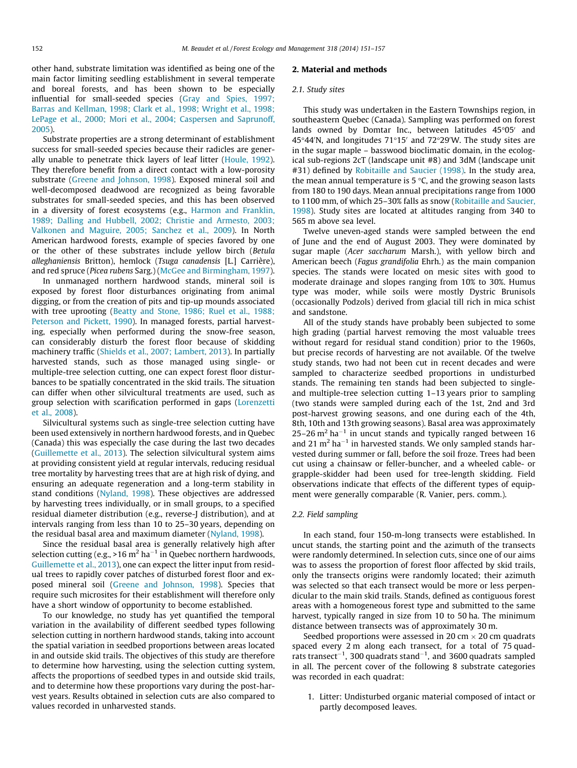other hand, substrate limitation was identified as being one of the main factor limiting seedling establishment in several temperate and boreal forests, and has been shown to be especially influential for small-seeded species ([Gray and Spies, 1997;](#page-5-0) [Barras and Kellman, 1998; Clark et al., 1998; Wright et al., 1998;](#page-5-0) [LePage et al., 2000; Mori et al., 2004; Caspersen and Saprunoff,](#page-5-0) [2005\)](#page-5-0).

Substrate properties are a strong determinant of establishment success for small-seeded species because their radicles are generally unable to penetrate thick layers of leaf litter ([Houle, 1992\)](#page-6-0). They therefore benefit from a direct contact with a low-porosity substrate [\(Greene and Johnson, 1998\)](#page-5-0). Exposed mineral soil and well-decomposed deadwood are recognized as being favorable substrates for small-seeded species, and this has been observed in a diversity of forest ecosystems (e.g., [Harmon and Franklin,](#page-6-0) [1989; Dalling and Hubbell, 2002; Christie and Armesto, 2003;](#page-6-0) [Valkonen and Maguire, 2005; Sanchez et al., 2009](#page-6-0)). In North American hardwood forests, example of species favored by one or the other of these substrates include yellow birch (Betula alleghaniensis Britton), hemlock (Tsuga canadensis [L.] Carrière), and red spruce (Picea rubens Sarg.) [\(McGee and Birmingham, 1997\)](#page-6-0).

In unmanaged northern hardwood stands, mineral soil is exposed by forest floor disturbances originating from animal digging, or from the creation of pits and tip-up mounds associated with tree uprooting ([Beatty and Stone, 1986; Ruel et al., 1988;](#page-5-0) [Peterson and Pickett, 1990](#page-5-0)). In managed forests, partial harvesting, especially when performed during the snow-free season, can considerably disturb the forest floor because of skidding machinery traffic [\(Shields et al., 2007; Lambert, 2013\)](#page-6-0). In partially harvested stands, such as those managed using single- or multiple-tree selection cutting, one can expect forest floor disturbances to be spatially concentrated in the skid trails. The situation can differ when other silvicultural treatments are used, such as group selection with scarification performed in gaps ([Lorenzetti](#page-6-0) [et al., 2008\)](#page-6-0).

Silvicultural systems such as single-tree selection cutting have been used extensively in northern hardwood forests, and in Quebec (Canada) this was especially the case during the last two decades ([Guillemette et al., 2013](#page-5-0)). The selection silvicultural system aims at providing consistent yield at regular intervals, reducing residual tree mortality by harvesting trees that are at high risk of dying, and ensuring an adequate regeneration and a long-term stability in stand conditions [\(Nyland, 1998\)](#page-6-0). These objectives are addressed by harvesting trees individually, or in small groups, to a specified residual diameter distribution (e.g., reverse-J distribution), and at intervals ranging from less than 10 to 25–30 years, depending on the residual basal area and maximum diameter [\(Nyland, 1998\)](#page-6-0).

Since the residual basal area is generally relatively high after selection cutting (e.g., >16 m<sup>2</sup> ha $^{-1}$  in Quebec northern hardwoods, [Guillemette et al., 2013](#page-5-0)), one can expect the litter input from residual trees to rapidly cover patches of disturbed forest floor and exposed mineral soil ([Greene and Johnson, 1998](#page-5-0)). Species that require such microsites for their establishment will therefore only have a short window of opportunity to become established.

To our knowledge, no study has yet quantified the temporal variation in the availability of different seedbed types following selection cutting in northern hardwood stands, taking into account the spatial variation in seedbed proportions between areas located in and outside skid trails. The objectives of this study are therefore to determine how harvesting, using the selection cutting system, affects the proportions of seedbed types in and outside skid trails, and to determine how these proportions vary during the post-harvest years. Results obtained in selection cuts are also compared to values recorded in unharvested stands.

## 2. Material and methods

#### 2.1. Study sites

This study was undertaken in the Eastern Townships region, in southeastern Quebec (Canada). Sampling was performed on forest lands owned by Domtar Inc., between latitudes 45°05' and  $45^{\circ}44^{\prime}$ N, and longitudes  $71^{\circ}15^{\prime}$  and  $72^{\circ}29^{\prime}$ W. The study sites are in the sugar maple – basswood bioclimatic domain, in the ecological sub-regions 2cT (landscape unit #8) and 3dM (landscape unit #31) defined by [Robitaille and Saucier \(1998\)](#page-6-0). In the study area, the mean annual temperature is  $5^{\circ}$ C, and the growing season lasts from 180 to 190 days. Mean annual precipitations range from 1000 to 1100 mm, of which 25–30% falls as snow ([Robitaille and Saucier,](#page-6-0) [1998\)](#page-6-0). Study sites are located at altitudes ranging from 340 to 565 m above sea level.

Twelve uneven-aged stands were sampled between the end of June and the end of August 2003. They were dominated by sugar maple (Acer saccharum Marsh.), with yellow birch and American beech (Fagus grandifolia Ehrh.) as the main companion species. The stands were located on mesic sites with good to moderate drainage and slopes ranging from 10% to 30%. Humus type was moder, while soils were mostly Dystric Brunisols (occasionally Podzols) derived from glacial till rich in mica schist and sandstone.

All of the study stands have probably been subjected to some high grading (partial harvest removing the most valuable trees without regard for residual stand condition) prior to the 1960s, but precise records of harvesting are not available. Of the twelve study stands, two had not been cut in recent decades and were sampled to characterize seedbed proportions in undisturbed stands. The remaining ten stands had been subjected to singleand multiple-tree selection cutting 1–13 years prior to sampling (two stands were sampled during each of the 1st, 2nd and 3rd post-harvest growing seasons, and one during each of the 4th, 8th, 10th and 13th growing seasons). Basal area was approximately  $25-26$  m<sup>2</sup> ha<sup>-1</sup> in uncut stands and typically ranged between 16 and 21  $m<sup>2</sup>$  ha<sup>-1</sup> in harvested stands. We only sampled stands harvested during summer or fall, before the soil froze. Trees had been cut using a chainsaw or feller-buncher, and a wheeled cable- or grapple-skidder had been used for tree-length skidding. Field observations indicate that effects of the different types of equipment were generally comparable (R. Vanier, pers. comm.).

#### 2.2. Field sampling

In each stand, four 150-m-long transects were established. In uncut stands, the starting point and the azimuth of the transects were randomly determined. In selection cuts, since one of our aims was to assess the proportion of forest floor affected by skid trails, only the transects origins were randomly located; their azimuth was selected so that each transect would be more or less perpendicular to the main skid trails. Stands, defined as contiguous forest areas with a homogeneous forest type and submitted to the same harvest, typically ranged in size from 10 to 50 ha. The minimum distance between transects was of approximately 30 m.

Seedbed proportions were assessed in 20 cm  $\times$  20 cm quadrats spaced every 2 m along each transect, for a total of 75 quadrats transect<sup>-1</sup>, 300 quadrats stand<sup>-1</sup>, and 3600 quadrats sampled in all. The percent cover of the following 8 substrate categories was recorded in each quadrat:

1. Litter: Undisturbed organic material composed of intact or partly decomposed leaves.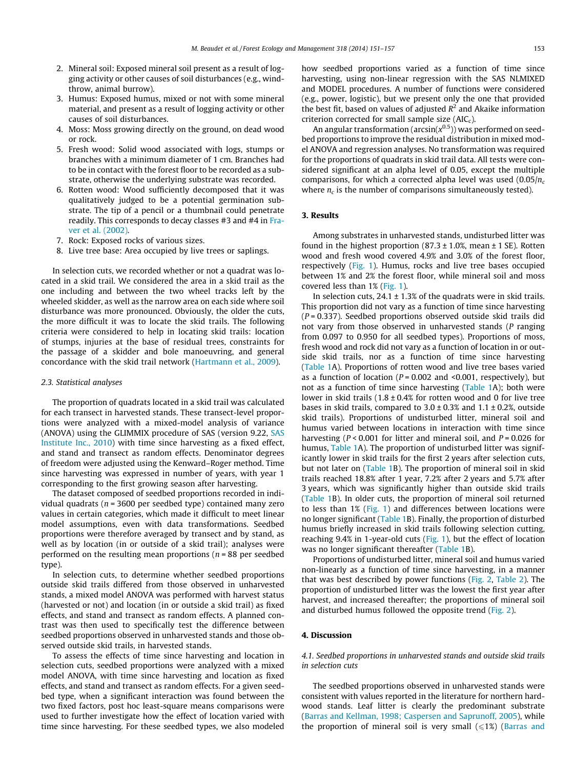- 2. Mineral soil: Exposed mineral soil present as a result of logging activity or other causes of soil disturbances (e.g., windthrow, animal burrow).
- 3. Humus: Exposed humus, mixed or not with some mineral material, and present as a result of logging activity or other causes of soil disturbances.
- 4. Moss: Moss growing directly on the ground, on dead wood or rock.
- 5. Fresh wood: Solid wood associated with logs, stumps or branches with a minimum diameter of 1 cm. Branches had to be in contact with the forest floor to be recorded as a substrate, otherwise the underlying substrate was recorded.
- 6. Rotten wood: Wood sufficiently decomposed that it was qualitatively judged to be a potential germination substrate. The tip of a pencil or a thumbnail could penetrate readily. This corresponds to decay classes #3 and #4 in [Fra](#page-5-0)[ver et al. \(2002\).](#page-5-0)
- 7. Rock: Exposed rocks of various sizes.
- 8. Live tree base: Area occupied by live trees or saplings.

In selection cuts, we recorded whether or not a quadrat was located in a skid trail. We considered the area in a skid trail as the one including and between the two wheel tracks left by the wheeled skidder, as well as the narrow area on each side where soil disturbance was more pronounced. Obviously, the older the cuts, the more difficult it was to locate the skid trails. The following criteria were considered to help in locating skid trails: location of stumps, injuries at the base of residual trees, constraints for the passage of a skidder and bole manoeuvring, and general concordance with the skid trail network [\(Hartmann et al., 2009\)](#page-6-0).

#### 2.3. Statistical analyses

The proportion of quadrats located in a skid trail was calculated for each transect in harvested stands. These transect-level proportions were analyzed with a mixed-model analysis of variance (ANOVA) using the GLIMMIX procedure of SAS (version 9.22, [SAS](#page-6-0) [Institute Inc., 2010\)](#page-6-0) with time since harvesting as a fixed effect, and stand and transect as random effects. Denominator degrees of freedom were adjusted using the Kenward–Roger method. Time since harvesting was expressed in number of years, with year 1 corresponding to the first growing season after harvesting.

The dataset composed of seedbed proportions recorded in individual quadrats ( $n = 3600$  per seedbed type) contained many zero values in certain categories, which made it difficult to meet linear model assumptions, even with data transformations. Seedbed proportions were therefore averaged by transect and by stand, as well as by location (in or outside of a skid trail); analyses were performed on the resulting mean proportions ( $n = 88$  per seedbed type).

In selection cuts, to determine whether seedbed proportions outside skid trails differed from those observed in unharvested stands, a mixed model ANOVA was performed with harvest status (harvested or not) and location (in or outside a skid trail) as fixed effects, and stand and transect as random effects. A planned contrast was then used to specifically test the difference between seedbed proportions observed in unharvested stands and those observed outside skid trails, in harvested stands.

To assess the effects of time since harvesting and location in selection cuts, seedbed proportions were analyzed with a mixed model ANOVA, with time since harvesting and location as fixed effects, and stand and transect as random effects. For a given seedbed type, when a significant interaction was found between the two fixed factors, post hoc least-square means comparisons were used to further investigate how the effect of location varied with time since harvesting. For these seedbed types, we also modeled how seedbed proportions varied as a function of time since harvesting, using non-linear regression with the SAS NLMIXED and MODEL procedures. A number of functions were considered (e.g., power, logistic), but we present only the one that provided the best fit, based on values of adjusted  $R^2$  and Akaike information criterion corrected for small sample size ( $AIC_c$ ).

An angular transformation ( $arcsin(x^{0.5})$ ) was performed on seedbed proportions to improve the residual distribution in mixed model ANOVA and regression analyses. No transformation was required for the proportions of quadrats in skid trail data. All tests were considered significant at an alpha level of 0.05, except the multiple comparisons, for which a corrected alpha level was used  $(0.05/n_c)$ where  $n_c$  is the number of comparisons simultaneously tested).

## 3. Results

Among substrates in unharvested stands, undisturbed litter was found in the highest proportion  $(87.3 \pm 1.0\%)$ , mean  $\pm 1$  SE). Rotten wood and fresh wood covered 4.9% and 3.0% of the forest floor, respectively ([Fig. 1](#page-3-0)). Humus, rocks and live tree bases occupied between 1% and 2% the forest floor, while mineral soil and moss covered less than 1% ([Fig. 1](#page-3-0)).

In selection cuts,  $24.1 \pm 1.3\%$  of the quadrats were in skid trails. This proportion did not vary as a function of time since harvesting  $(P = 0.337)$ . Seedbed proportions observed outside skid trails did not vary from those observed in unharvested stands (P ranging from 0.097 to 0.950 for all seedbed types). Proportions of moss, fresh wood and rock did not vary as a function of location in or outside skid trails, nor as a function of time since harvesting ([Table 1A](#page-3-0)). Proportions of rotten wood and live tree bases varied as a function of location ( $P = 0.002$  and <0.001, respectively), but not as a function of time since harvesting [\(Table 1A](#page-3-0)); both were lower in skid trails ( $1.8 \pm 0.4$ % for rotten wood and 0 for live tree bases in skid trails, compared to  $3.0 \pm 0.3$ % and  $1.1 \pm 0.2$ %, outside skid trails). Proportions of undisturbed litter, mineral soil and humus varied between locations in interaction with time since harvesting ( $P < 0.001$  for litter and mineral soil, and  $P = 0.026$  for humus, [Table 1A](#page-3-0)). The proportion of undisturbed litter was significantly lower in skid trails for the first 2 years after selection cuts, but not later on [\(Table 1B](#page-3-0)). The proportion of mineral soil in skid trails reached 18.8% after 1 year, 7.2% after 2 years and 5.7% after 3 years, which was significantly higher than outside skid trails ([Table 1B](#page-3-0)). In older cuts, the proportion of mineral soil returned to less than 1% [\(Fig. 1](#page-3-0)) and differences between locations were no longer significant ([Table 1B](#page-3-0)). Finally, the proportion of disturbed humus briefly increased in skid trails following selection cutting, reaching 9.4% in 1-year-old cuts ([Fig. 1](#page-3-0)), but the effect of location was no longer significant thereafter ([Table 1B](#page-3-0)).

Proportions of undisturbed litter, mineral soil and humus varied non-linearly as a function of time since harvesting, in a manner that was best described by power functions ([Fig. 2,](#page-4-0) [Table 2\)](#page-4-0). The proportion of undisturbed litter was the lowest the first year after harvest, and increased thereafter; the proportions of mineral soil and disturbed humus followed the opposite trend [\(Fig. 2\)](#page-4-0).

### 4. Discussion

## 4.1. Seedbed proportions in unharvested stands and outside skid trails in selection cuts

The seedbed proportions observed in unharvested stands were consistent with values reported in the literature for northern hardwood stands. Leaf litter is clearly the predominant substrate ([Barras and Kellman, 1998; Caspersen and Saprunoff, 2005](#page-5-0)), while the proportion of mineral soil is very small  $(\leq 1\%)$  ([Barras and](#page-5-0)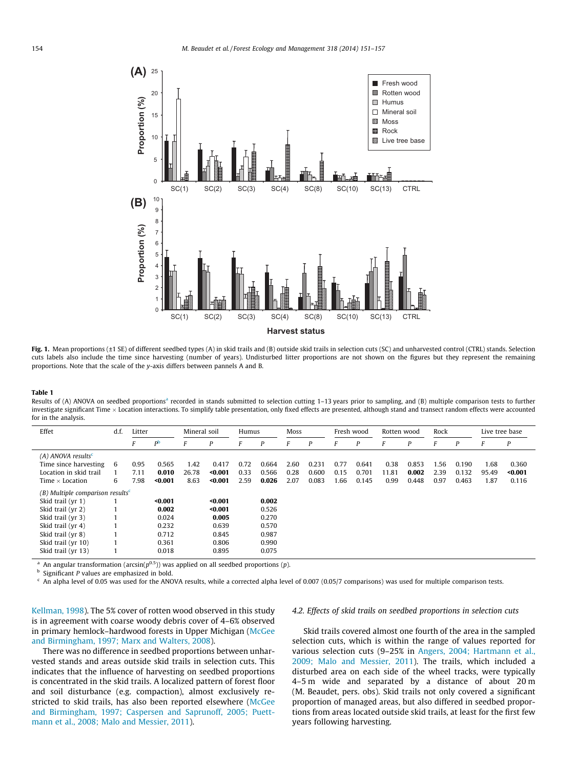<span id="page-3-0"></span>

Fig. 1. Mean proportions (±1 SE) of different seedbed types (A) in skid trails and (B) outside skid trails in selection cuts (SC) and unharvested control (CTRL) stands. Selection cuts labels also include the time since harvesting (number of years). Undisturbed litter proportions are not shown on the figures but they represent the remaining proportions. Note that the scale of the y-axis differs between pannels A and B.

#### Table 1

Results of (A) ANOVA on seedbed proportions<sup>a</sup> recorded in stands submitted to selection cutting 1–13 years prior to sampling, and (B) multiple comparison tests to further investigate significant Time Location interactions. To simplify table presentation, only fixed effects are presented, although stand and transect random effects were accounted for in the analysis.

| Effet                                        | $df$ . | Litter |             | Mineral soil |         | Humus |       | Moss |       | Fresh wood |       | Rotten wood |       | Rock |       | Live tree base |         |
|----------------------------------------------|--------|--------|-------------|--------------|---------|-------|-------|------|-------|------------|-------|-------------|-------|------|-------|----------------|---------|
|                                              |        | F      | $P^{\rm b}$ |              | D       |       | P     |      | P     |            | P     | F           | P     |      |       |                | P       |
| $(A)$ ANOVA results <sup>c</sup>             |        |        |             |              |         |       |       |      |       |            |       |             |       |      |       |                |         |
| Time since harvesting                        | 6      | 0.95   | 0.565       | 1.42         | 0.417   | 0.72  | 0.664 | 2.60 | 0.231 | 0.77       | 0.641 | 0.38        | 0.853 | 1.56 | 0.190 | 1.68           | 0.360   |
| Location in skid trail                       |        | 7.11   | 0.010       | 26.78        | $0.001$ | 0.33  | 0.566 | 0.28 | 0.600 | 0.15       | 0.701 | 11.81       | 0.002 | 2.39 | 0.132 | 95.49          | $0.001$ |
| Time $\times$ Location                       | 6      | 7.98   | $0.001$     | 8.63         | $0.001$ | 2.59  | 0.026 | 2.07 | 0.083 | 1.66       | 0.145 | 0.99        | 0.448 | 0.97 | 0.463 | 1.87           | 0.116   |
| (B) Multiple comparison results <sup>c</sup> |        |        |             |              |         |       |       |      |       |            |       |             |       |      |       |                |         |
| Skid trail (yr 1)                            |        |        | $0.001$     |              | $0.001$ |       | 0.002 |      |       |            |       |             |       |      |       |                |         |
| Skid trail (yr 2)                            |        |        | 0.002       |              | $0.001$ |       | 0.526 |      |       |            |       |             |       |      |       |                |         |
| Skid trail (yr 3)                            |        |        | 0.024       |              | 0.005   |       | 0.270 |      |       |            |       |             |       |      |       |                |         |
| Skid trail (yr 4)                            |        |        | 0.232       |              | 0.639   |       | 0.570 |      |       |            |       |             |       |      |       |                |         |
| Skid trail (yr 8)                            |        |        | 0.712       |              | 0.845   |       | 0.987 |      |       |            |       |             |       |      |       |                |         |
| Skid trail (yr 10)                           |        |        | 0.361       |              | 0.806   |       | 0.990 |      |       |            |       |             |       |      |       |                |         |
| Skid trail (yr 13)                           |        |        | 0.018       |              | 0.895   |       | 0.075 |      |       |            |       |             |       |      |       |                |         |

<sup>a</sup> An angular transformation (arcsin( $p^{0.5}$ )) was applied on all seedbed proportions (p).

 $<sup>b</sup>$  Significant P values are emphasized in bold.</sup>

 $c$  An alpha level of 0.05 was used for the ANOVA results, while a corrected alpha level of 0.007 (0.05/7 comparisons) was used for multiple comparison tests.

[Kellman, 1998\)](#page-5-0). The 5% cover of rotten wood observed in this study is in agreement with coarse woody debris cover of 4–6% observed in primary hemlock–hardwood forests in Upper Michigan ([McGee](#page-6-0) [and Birmingham, 1997; Marx and Walters, 2008](#page-6-0)).

There was no difference in seedbed proportions between unharvested stands and areas outside skid trails in selection cuts. This indicates that the influence of harvesting on seedbed proportions is concentrated in the skid trails. A localized pattern of forest floor and soil disturbance (e.g. compaction), almost exclusively restricted to skid trails, has also been reported elsewhere ([McGee](#page-6-0) [and Birmingham, 1997; Caspersen and Saprunoff, 2005; Puett](#page-6-0)[mann et al., 2008; Malo and Messier, 2011\)](#page-6-0).

#### 4.2. Effects of skid trails on seedbed proportions in selection cuts

Skid trails covered almost one fourth of the area in the sampled selection cuts, which is within the range of values reported for various selection cuts (9–25% in [Angers, 2004; Hartmann et al.,](#page-5-0) [2009; Malo and Messier, 2011](#page-5-0)). The trails, which included a disturbed area on each side of the wheel tracks, were typically 4–5 m wide and separated by a distance of about 20 m (M. Beaudet, pers. obs). Skid trails not only covered a significant proportion of managed areas, but also differed in seedbed proportions from areas located outside skid trails, at least for the first few years following harvesting.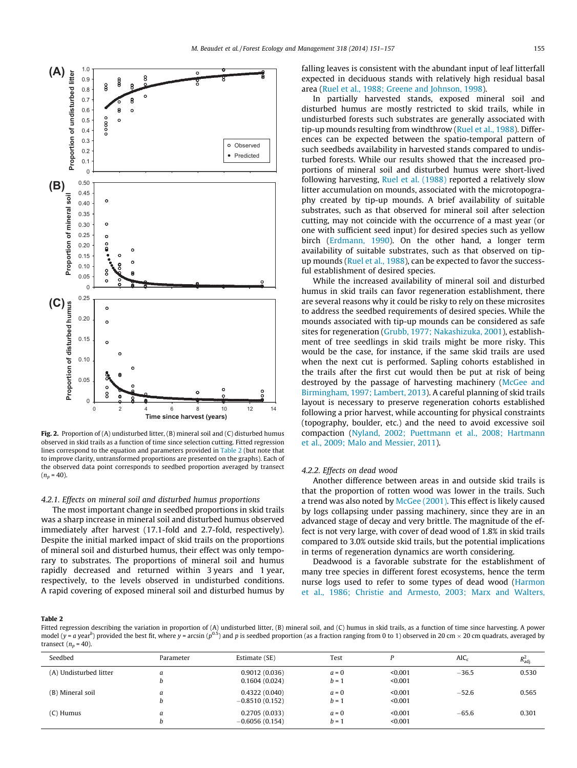<span id="page-4-0"></span>

Fig. 2. Proportion of  $(A)$  undisturbed litter,  $(B)$  mineral soil and  $(C)$  disturbed humus observed in skid trails as a function of time since selection cutting. Fitted regression lines correspond to the equation and parameters provided in Table 2 (but note that to improve clarity, untransformed proportions are presented on the graphs). Each of the observed data point corresponds to seedbed proportion averaged by transect  $(n_p = 40)$ .

## 4.2.1. Effects on mineral soil and disturbed humus proportions

The most important change in seedbed proportions in skid trails was a sharp increase in mineral soil and disturbed humus observed immediately after harvest (17.1-fold and 2.7-fold, respectively). Despite the initial marked impact of skid trails on the proportions of mineral soil and disturbed humus, their effect was only temporary to substrates. The proportions of mineral soil and humus rapidly decreased and returned within 3 years and 1 year, respectively, to the levels observed in undisturbed conditions. A rapid covering of exposed mineral soil and disturbed humus by falling leaves is consistent with the abundant input of leaf litterfall expected in deciduous stands with relatively high residual basal area [\(Ruel et al., 1988; Greene and Johnson, 1998](#page-6-0)).

In partially harvested stands, exposed mineral soil and disturbed humus are mostly restricted to skid trails, while in undisturbed forests such substrates are generally associated with tip-up mounds resulting from windthrow ([Ruel et al., 1988](#page-6-0)). Differences can be expected between the spatio-temporal pattern of such seedbeds availability in harvested stands compared to undisturbed forests. While our results showed that the increased proportions of mineral soil and disturbed humus were short-lived following harvesting, [Ruel et al. \(1988\)](#page-6-0) reported a relatively slow litter accumulation on mounds, associated with the microtopography created by tip-up mounds. A brief availability of suitable substrates, such as that observed for mineral soil after selection cutting, may not coincide with the occurrence of a mast year (or one with sufficient seed input) for desired species such as yellow birch [\(Erdmann, 1990](#page-5-0)). On the other hand, a longer term availability of suitable substrates, such as that observed on tipup mounds ([Ruel et al., 1988\)](#page-6-0), can be expected to favor the successful establishment of desired species.

While the increased availability of mineral soil and disturbed humus in skid trails can favor regeneration establishment, there are several reasons why it could be risky to rely on these microsites to address the seedbed requirements of desired species. While the mounds associated with tip-up mounds can be considered as safe sites for regeneration ([Grubb, 1977; Nakashizuka, 2001\)](#page-5-0), establishment of tree seedlings in skid trails might be more risky. This would be the case, for instance, if the same skid trails are used when the next cut is performed. Sapling cohorts established in the trails after the first cut would then be put at risk of being destroyed by the passage of harvesting machinery ([McGee and](#page-6-0) [Birmingham, 1997; Lambert, 2013\)](#page-6-0). A careful planning of skid trails layout is necessary to preserve regeneration cohorts established following a prior harvest, while accounting for physical constraints (topography, boulder, etc.) and the need to avoid excessive soil compaction ([Nyland, 2002; Puettmann et al., 2008; Hartmann](#page-6-0) [et al., 2009; Malo and Messier, 2011](#page-6-0)).

## 4.2.2. Effects on dead wood

Another difference between areas in and outside skid trails is that the proportion of rotten wood was lower in the trails. Such a trend was also noted by [McGee \(2001\).](#page-6-0) This effect is likely caused by logs collapsing under passing machinery, since they are in an advanced stage of decay and very brittle. The magnitude of the effect is not very large, with cover of dead wood of 1.8% in skid trails compared to 3.0% outside skid trails, but the potential implications in terms of regeneration dynamics are worth considering.

Deadwood is a favorable substrate for the establishment of many tree species in different forest ecosystems, hence the term nurse logs used to refer to some types of dead wood ([Harmon](#page-6-0) [et al., 1986; Christie and Armesto, 2003; Marx and Walters,](#page-6-0)

#### Table 2

Fitted regression describing the variation in proportion of (A) undisturbed litter, (B) mineral soil, and (C) humus in skid trails, as a function of time since harvesting. A power model (y = a year<sup>b</sup>) provided the best fit, where y = arcsin (p<sup>0.5</sup>) and p is seedbed proportion (as a fraction ranging from 0 to 1) observed in 20 cm  $\times$  20 cm quadrats, averaged by transect  $(n_p = 40)$ .

| Seedbed                | Parameter | Estimate (SE)                     | Test             |                    | AIC <sub>c</sub> | $R_{\text{adj.}}^2$ |
|------------------------|-----------|-----------------------------------|------------------|--------------------|------------------|---------------------|
| (A) Undisturbed litter | a         | 0.9012(0.036)<br>0.1604(0.024)    | $a = 0$<br>$b=1$ | < 0.001<br>< 0.001 | $-36.5$          | 0.530               |
| (B) Mineral soil       | a         | 0.4322(0.040)<br>$-0.8510(0.152)$ | $a = 0$<br>$b=1$ | < 0.001<br>< 0.001 | $-52.6$          | 0.565               |
| (C) Humus              | a<br>b    | 0.2705(0.033)<br>$-0.6056(0.154)$ | $a = 0$<br>$b=1$ | < 0.001<br>< 0.001 | $-65.6$          | 0.301               |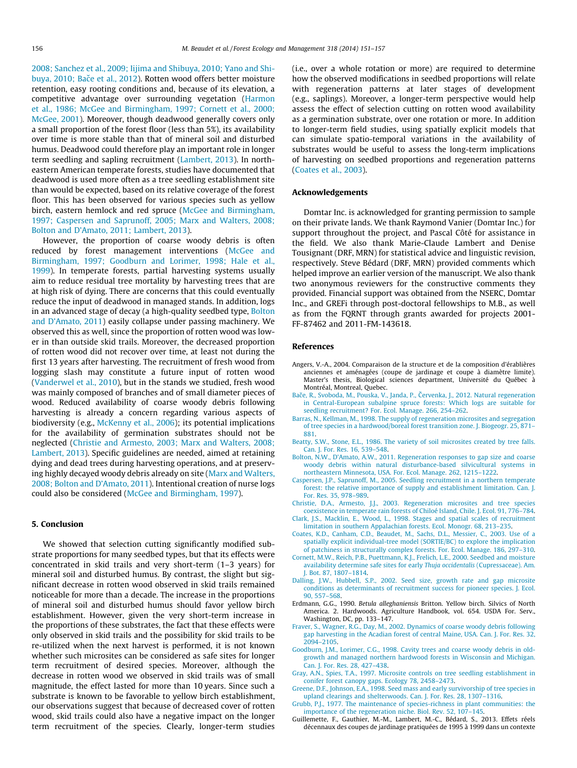<span id="page-5-0"></span>[2008; Sanchez et al., 2009; Iijima and Shibuya, 2010; Yano and Shi](#page-6-0)buya, 2010; Bače et al., 2012). Rotten wood offers better moisture retention, easy rooting conditions and, because of its elevation, a competitive advantage over surrounding vegetation ([Harmon](#page-6-0) [et al., 1986; McGee and Birmingham, 1997; Cornett et al., 2000;](#page-6-0) [McGee, 2001](#page-6-0)). Moreover, though deadwood generally covers only a small proportion of the forest floor (less than 5%), its availability over time is more stable than that of mineral soil and disturbed humus. Deadwood could therefore play an important role in longer term seedling and sapling recruitment [\(Lambert, 2013](#page-6-0)). In northeastern American temperate forests, studies have documented that deadwood is used more often as a tree seedling establishment site than would be expected, based on its relative coverage of the forest floor. This has been observed for various species such as yellow birch, eastern hemlock and red spruce [\(McGee and Birmingham,](#page-6-0) [1997; Caspersen and Saprunoff, 2005; Marx and Walters, 2008;](#page-6-0) [Bolton and D'Amato, 2011; Lambert, 2013](#page-6-0)).

However, the proportion of coarse woody debris is often reduced by forest management interventions [\(McGee and](#page-6-0) [Birmingham, 1997; Goodburn and Lorimer, 1998; Hale et al.,](#page-6-0) [1999\)](#page-6-0). In temperate forests, partial harvesting systems usually aim to reduce residual tree mortality by harvesting trees that are at high risk of dying. There are concerns that this could eventually reduce the input of deadwood in managed stands. In addition, logs in an advanced stage of decay (a high-quality seedbed type, Bolton and D'Amato, 2011) easily collapse under passing machinery. We observed this as well, since the proportion of rotten wood was lower in than outside skid trails. Moreover, the decreased proportion of rotten wood did not recover over time, at least not during the first 13 years after harvesting. The recruitment of fresh wood from logging slash may constitute a future input of rotten wood ([Vanderwel et al., 2010\)](#page-6-0), but in the stands we studied, fresh wood was mainly composed of branches and of small diameter pieces of wood. Reduced availability of coarse woody debris following harvesting is already a concern regarding various aspects of biodiversity (e.g., [McKenny et al., 2006](#page-6-0)); its potential implications for the availability of germination substrates should not be neglected (Christie and Armesto, 2003; Marx and Walters, 2008; Lambert, 2013). Specific guidelines are needed, aimed at retaining dying and dead trees during harvesting operations, and at preserving highly decayed woody debris already on site [\(Marx and Walters,](#page-6-0) [2008; Bolton and D'Amato, 2011\)](#page-6-0). Intentional creation of nurse logs could also be considered [\(McGee and Birmingham, 1997](#page-6-0)).

## 5. Conclusion

We showed that selection cutting significantly modified substrate proportions for many seedbed types, but that its effects were concentrated in skid trails and very short-term (1–3 years) for mineral soil and disturbed humus. By contrast, the slight but significant decrease in rotten wood observed in skid trails remained noticeable for more than a decade. The increase in the proportions of mineral soil and disturbed humus should favor yellow birch establishment. However, given the very short-term increase in the proportions of these substrates, the fact that these effects were only observed in skid trails and the possibility for skid trails to be re-utilized when the next harvest is performed, it is not known whether such microsites can be considered as safe sites for longer term recruitment of desired species. Moreover, although the decrease in rotten wood we observed in skid trails was of small magnitude, the effect lasted for more than 10 years. Since such a substrate is known to be favorable to yellow birch establishment, our observations suggest that because of decreased cover of rotten wood, skid trails could also have a negative impact on the longer term recruitment of the species. Clearly, longer-term studies (i.e., over a whole rotation or more) are required to determine how the observed modifications in seedbed proportions will relate with regeneration patterns at later stages of development (e.g., saplings). Moreover, a longer-term perspective would help assess the effect of selection cutting on rotten wood availability as a germination substrate, over one rotation or more. In addition to longer-term field studies, using spatially explicit models that can simulate spatio-temporal variations in the availability of substrates would be useful to assess the long-term implications of harvesting on seedbed proportions and regeneration patterns (Coates et al., 2003).

## Acknowledgements

Domtar Inc. is acknowledged for granting permission to sample on their private lands. We thank Raymond Vanier (Domtar Inc.) for support throughout the project, and Pascal Côté for assistance in the field. We also thank Marie-Claude Lambert and Denise Tousignant (DRF, MRN) for statistical advice and linguistic revision, respectively. Steve Bédard (DRF, MRN) provided comments which helped improve an earlier version of the manuscript. We also thank two anonymous reviewers for the constructive comments they provided. Financial support was obtained from the NSERC, Domtar Inc., and GREFi through post-doctoral fellowships to M.B., as well as from the FQRNT through grants awarded for projects 2001- FF-87462 and 2011-FM-143618.

#### References

- Angers, V.-A., 2004. Comparaison de la structure et de la composition d'érablières anciennes et aménagées (coupe de jardinage et coupe à diamètre limite). Master's thesis, Biological sciences department, Université du Québec à Montréal, Montreal, Quebec.
- Bače, R., Svoboda, M., Pouska, V., Janda, P., Červenka, J., 2012. Natural regeneration [in Central-European subalpine spruce forests: Which logs are suitable for](http://refhub.elsevier.com/S0378-1127(14)00003-6/h0010) [seedling recruitment? For. Ecol. Manage. 266, 254–262.](http://refhub.elsevier.com/S0378-1127(14)00003-6/h0010)
- [Barras, N., Kellman, M., 1998. The supply of regeneration microsites and segregation](http://refhub.elsevier.com/S0378-1127(14)00003-6/h0015) [of tree species in a hardwood/boreal forest transition zone. J. Biogeogr. 25, 871–](http://refhub.elsevier.com/S0378-1127(14)00003-6/h0015) [881](http://refhub.elsevier.com/S0378-1127(14)00003-6/h0015).
- [Beatty, S.W., Stone, E.L., 1986. The variety of soil microsites created by tree falls.](http://refhub.elsevier.com/S0378-1127(14)00003-6/h0020) [Can. J. For. Res. 16, 539–548.](http://refhub.elsevier.com/S0378-1127(14)00003-6/h0020)
- [Bolton, N.W., D'Amato, A.W., 2011. Regeneration responses to gap size and coarse](http://refhub.elsevier.com/S0378-1127(14)00003-6/h0025) [woody debris within natural disturbance-based silvicultural systems in](http://refhub.elsevier.com/S0378-1127(14)00003-6/h0025) [northeastern Minnesota, USA. For. Ecol. Manage. 262, 1215–1222.](http://refhub.elsevier.com/S0378-1127(14)00003-6/h0025)
- [Caspersen, J.P., Saprunoff, M., 2005. Seedling recruitment in a northern temperate](http://refhub.elsevier.com/S0378-1127(14)00003-6/h0030) [forest: the relative importance of supply and establishment limitation. Can. J.](http://refhub.elsevier.com/S0378-1127(14)00003-6/h0030) [For. Res. 35, 978–989](http://refhub.elsevier.com/S0378-1127(14)00003-6/h0030).
- [Christie, D.A., Armesto, J.J., 2003. Regeneration microsites and tree species](http://refhub.elsevier.com/S0378-1127(14)00003-6/h0035) [coexistence in temperate rain forests of Chiloé Island, Chile. J. Ecol. 91, 776–784](http://refhub.elsevier.com/S0378-1127(14)00003-6/h0035).
- [Clark, J.S., Macklin, E., Wood, L., 1998. Stages and spatial scales of recruitment](http://refhub.elsevier.com/S0378-1127(14)00003-6/h0040) [limitation in southern Appalachian forests. Ecol. Monogr. 68, 213–235.](http://refhub.elsevier.com/S0378-1127(14)00003-6/h0040)
- [Coates, K.D., Canham, C.D., Beaudet, M., Sachs, D.L., Messier, C., 2003. Use of a](http://refhub.elsevier.com/S0378-1127(14)00003-6/h0045) [spatially explicit individual-tree model \(SORTIE/BC\) to explore the implication](http://refhub.elsevier.com/S0378-1127(14)00003-6/h0045) [of patchiness in structurally complex forests. For. Ecol. Manage. 186, 297–310](http://refhub.elsevier.com/S0378-1127(14)00003-6/h0045).
- [Cornett, M.W., Reich, P.B., Puettmann, K.J., Frelich, L.E., 2000. Seedbed and moisture](http://refhub.elsevier.com/S0378-1127(14)00003-6/h0050) [availability determine safe sites for early](http://refhub.elsevier.com/S0378-1127(14)00003-6/h0050) Thuja occidentalis (Cupressaceae). Am. [J. Bot. 87, 1807–1814.](http://refhub.elsevier.com/S0378-1127(14)00003-6/h0050)
- [Dalling, J.W., Hubbell, S.P., 2002. Seed size, growth rate and gap microsite](http://refhub.elsevier.com/S0378-1127(14)00003-6/h0055) [conditions as determinants of recruitment success for pioneer species. J. Ecol.](http://refhub.elsevier.com/S0378-1127(14)00003-6/h0055) [90, 557–568.](http://refhub.elsevier.com/S0378-1127(14)00003-6/h0055)
- Erdmann, G.G., 1990. Betula alleghaniensis Britton. Yellow birch. Silvics of North America. 2. Hardwoods. Agriculture Handbook, vol. 654. USDA For. Serv., Washington, DC, pp. 133–147.
- [Fraver, S., Wagner, R.G., Day, M., 2002. Dynamics of coarse woody debris following](http://refhub.elsevier.com/S0378-1127(14)00003-6/h0065) [gap harvesting in the Acadian forest of central Maine, USA. Can. J. For. Res. 32,](http://refhub.elsevier.com/S0378-1127(14)00003-6/h0065) [2094–2105.](http://refhub.elsevier.com/S0378-1127(14)00003-6/h0065)
- [Goodburn, J.M., Lorimer, C.G., 1998. Cavity trees and coarse woody debris in old](http://refhub.elsevier.com/S0378-1127(14)00003-6/h0070)[growth and managed northern hardwood forests in Wisconsin and Michigan.](http://refhub.elsevier.com/S0378-1127(14)00003-6/h0070) [Can. J. For. Res. 28, 427–438.](http://refhub.elsevier.com/S0378-1127(14)00003-6/h0070)
- [Gray, A.N., Spies, T.A., 1997. Microsite controls on tree seedling establishment in](http://refhub.elsevier.com/S0378-1127(14)00003-6/h0075) [conifer forest canopy gaps. Ecology 78, 2458–2473.](http://refhub.elsevier.com/S0378-1127(14)00003-6/h0075)
- [Greene, D.F., Johnson, E.A., 1998. Seed mass and early survivorship of tree species in](http://refhub.elsevier.com/S0378-1127(14)00003-6/h0080) [upland clearings and shelterwoods. Can. J. For. Res. 28, 1307–1316](http://refhub.elsevier.com/S0378-1127(14)00003-6/h0080).
- [Grubb, P.J., 1977. The maintenance of species-richness in plant communities: the](http://refhub.elsevier.com/S0378-1127(14)00003-6/h0085) [importance of the regeneration niche. Biol. Rev. 52, 107–145.](http://refhub.elsevier.com/S0378-1127(14)00003-6/h0085)
- Guillemette, F., Gauthier, M.-M., Lambert, M.-C., Bédard, S., 2013. Effets réels décennaux des coupes de jardinage pratiquées de 1995 à 1999 dans un contexte